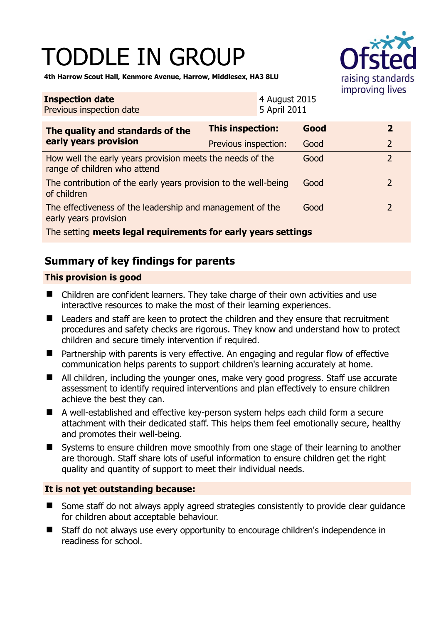# TODDLE IN GROUP



**4th Harrow Scout Hall, Kenmore Avenue, Harrow, Middlesex, HA3 8LU** 

| <b>Inspection date</b><br>Previous inspection date                                        |                         | 4 August 2015<br>5 April 2011 |      |  |                |
|-------------------------------------------------------------------------------------------|-------------------------|-------------------------------|------|--|----------------|
| The quality and standards of the<br>early years provision                                 | <b>This inspection:</b> |                               | Good |  | $\overline{2}$ |
|                                                                                           | Previous inspection:    |                               | Good |  | $\overline{2}$ |
| How well the early years provision meets the needs of the<br>range of children who attend |                         |                               | Good |  | $\overline{2}$ |
| The contribution of the early years provision to the well-being<br>of children            |                         |                               | Good |  | 2              |
| The effectiveness of the leadership and management of the<br>early years provision        |                         |                               | Good |  | 2              |
| The setting meets legal requirements for early years settings                             |                         |                               |      |  |                |

## **Summary of key findings for parents**

#### **This provision is good**

- Children are confident learners. They take charge of their own activities and use interactive resources to make the most of their learning experiences.
- Leaders and staff are keen to protect the children and they ensure that recruitment procedures and safety checks are rigorous. They know and understand how to protect children and secure timely intervention if required.
- Partnership with parents is very effective. An engaging and regular flow of effective communication helps parents to support children's learning accurately at home.
- All children, including the younger ones, make very good progress. Staff use accurate assessment to identify required interventions and plan effectively to ensure children achieve the best they can.
- A well-established and effective key-person system helps each child form a secure attachment with their dedicated staff. This helps them feel emotionally secure, healthy and promotes their well-being.
- Systems to ensure children move smoothly from one stage of their learning to another are thorough. Staff share lots of useful information to ensure children get the right quality and quantity of support to meet their individual needs.

#### **It is not yet outstanding because:**

- Some staff do not always apply agreed strategies consistently to provide clear guidance for children about acceptable behaviour.
- Staff do not always use every opportunity to encourage children's independence in readiness for school.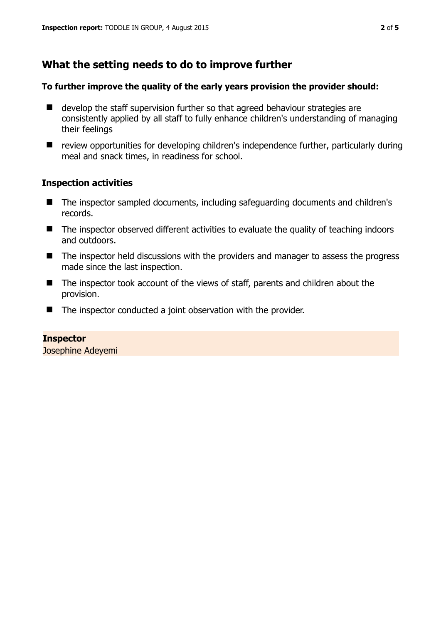## **What the setting needs to do to improve further**

#### **To further improve the quality of the early years provision the provider should:**

- develop the staff supervision further so that agreed behaviour strategies are consistently applied by all staff to fully enhance children's understanding of managing their feelings
- review opportunities for developing children's independence further, particularly during meal and snack times, in readiness for school.

#### **Inspection activities**

- The inspector sampled documents, including safeguarding documents and children's records.
- The inspector observed different activities to evaluate the quality of teaching indoors and outdoors.
- The inspector held discussions with the providers and manager to assess the progress made since the last inspection.
- The inspector took account of the views of staff, parents and children about the provision.
- The inspector conducted a joint observation with the provider.

**Inspector** 

Josephine Adeyemi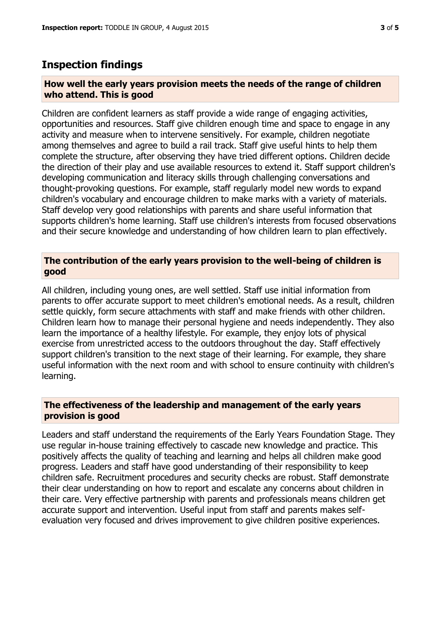### **Inspection findings**

#### **How well the early years provision meets the needs of the range of children who attend. This is good**

Children are confident learners as staff provide a wide range of engaging activities, opportunities and resources. Staff give children enough time and space to engage in any activity and measure when to intervene sensitively. For example, children negotiate among themselves and agree to build a rail track. Staff give useful hints to help them complete the structure, after observing they have tried different options. Children decide the direction of their play and use available resources to extend it. Staff support children's developing communication and literacy skills through challenging conversations and thought-provoking questions. For example, staff regularly model new words to expand children's vocabulary and encourage children to make marks with a variety of materials. Staff develop very good relationships with parents and share useful information that supports children's home learning. Staff use children's interests from focused observations and their secure knowledge and understanding of how children learn to plan effectively.

#### **The contribution of the early years provision to the well-being of children is good**

All children, including young ones, are well settled. Staff use initial information from parents to offer accurate support to meet children's emotional needs. As a result, children settle quickly, form secure attachments with staff and make friends with other children. Children learn how to manage their personal hygiene and needs independently. They also learn the importance of a healthy lifestyle. For example, they enjoy lots of physical exercise from unrestricted access to the outdoors throughout the day. Staff effectively support children's transition to the next stage of their learning. For example, they share useful information with the next room and with school to ensure continuity with children's learning.

#### **The effectiveness of the leadership and management of the early years provision is good**

Leaders and staff understand the requirements of the Early Years Foundation Stage. They use regular in-house training effectively to cascade new knowledge and practice. This positively affects the quality of teaching and learning and helps all children make good progress. Leaders and staff have good understanding of their responsibility to keep children safe. Recruitment procedures and security checks are robust. Staff demonstrate their clear understanding on how to report and escalate any concerns about children in their care. Very effective partnership with parents and professionals means children get accurate support and intervention. Useful input from staff and parents makes selfevaluation very focused and drives improvement to give children positive experiences.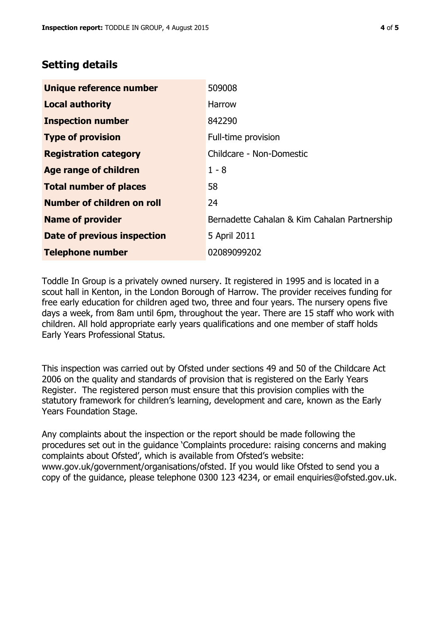## **Setting details**

| Unique reference number       | 509008                                       |
|-------------------------------|----------------------------------------------|
| <b>Local authority</b>        | <b>Harrow</b>                                |
| <b>Inspection number</b>      | 842290                                       |
| <b>Type of provision</b>      | Full-time provision                          |
| <b>Registration category</b>  | Childcare - Non-Domestic                     |
| <b>Age range of children</b>  | $1 - 8$                                      |
| <b>Total number of places</b> | 58                                           |
| Number of children on roll    | 24                                           |
| <b>Name of provider</b>       | Bernadette Cahalan & Kim Cahalan Partnership |
| Date of previous inspection   | 5 April 2011                                 |
| <b>Telephone number</b>       | 02089099202                                  |

Toddle In Group is a privately owned nursery. It registered in 1995 and is located in a scout hall in Kenton, in the London Borough of Harrow. The provider receives funding for free early education for children aged two, three and four years. The nursery opens five days a week, from 8am until 6pm, throughout the year. There are 15 staff who work with children. All hold appropriate early years qualifications and one member of staff holds Early Years Professional Status.

This inspection was carried out by Ofsted under sections 49 and 50 of the Childcare Act 2006 on the quality and standards of provision that is registered on the Early Years Register. The registered person must ensure that this provision complies with the statutory framework for children's learning, development and care, known as the Early Years Foundation Stage.

Any complaints about the inspection or the report should be made following the procedures set out in the guidance 'Complaints procedure: raising concerns and making complaints about Ofsted', which is available from Ofsted's website: www.gov.uk/government/organisations/ofsted. If you would like Ofsted to send you a copy of the guidance, please telephone 0300 123 4234, or email enquiries@ofsted.gov.uk.